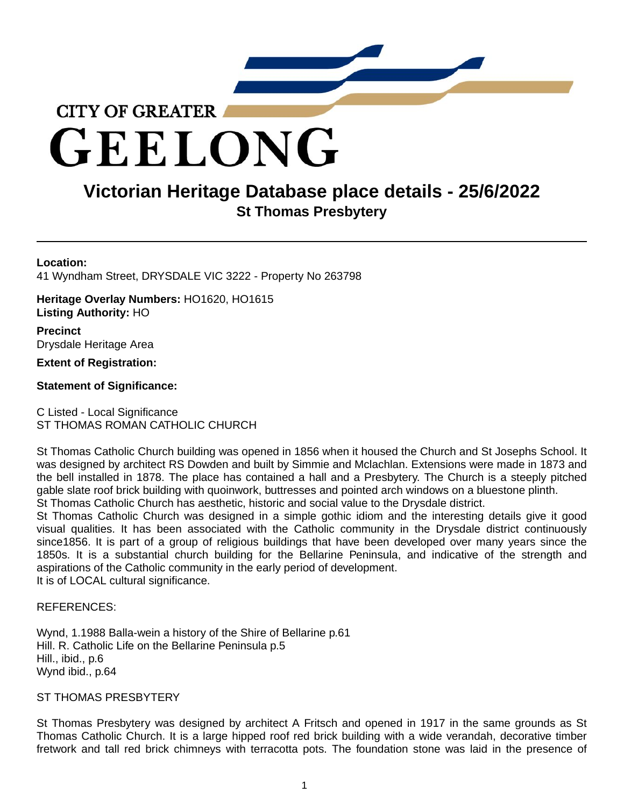

GEELONG

# **Victorian Heritage Database place details - 25/6/2022 St Thomas Presbytery**

# **Location:**

41 Wyndham Street, DRYSDALE VIC 3222 - Property No 263798

**Heritage Overlay Numbers:** HO1620, HO1615 **Listing Authority:** HO

**Precinct** Drysdale Heritage Area

# **Extent of Registration:**

# **Statement of Significance:**

C Listed - Local Significance ST THOMAS ROMAN CATHOLIC CHURCH

St Thomas Catholic Church building was opened in 1856 when it housed the Church and St Josephs School. It was designed by architect RS Dowden and built by Simmie and Mclachlan. Extensions were made in 1873 and the bell installed in 1878. The place has contained a hall and a Presbytery. The Church is a steeply pitched gable slate roof brick building with quoinwork, buttresses and pointed arch windows on a bluestone plinth. St Thomas Catholic Church has aesthetic, historic and social value to the Drysdale district.

St Thomas Catholic Church was designed in a simple gothic idiom and the interesting details give it good visual qualities. It has been associated with the Catholic community in the Drysdale district continuously since1856. It is part of a group of religious buildings that have been developed over many years since the 1850s. It is a substantial church building for the Bellarine Peninsula, and indicative of the strength and aspirations of the Catholic community in the early period of development. It is of LOCAL cultural significance.

## REFERENCES:

Wynd, 1.1988 Balla-wein a history of the Shire of Bellarine p.61 Hill. R. Catholic Life on the Bellarine Peninsula p.5 Hill., ibid., p.6 Wynd ibid., p.64

## ST THOMAS PRESBYTERY

St Thomas Presbytery was designed by architect A Fritsch and opened in 1917 in the same grounds as St Thomas Catholic Church. It is a large hipped roof red brick building with a wide verandah, decorative timber fretwork and tall red brick chimneys with terracotta pots. The foundation stone was laid in the presence of